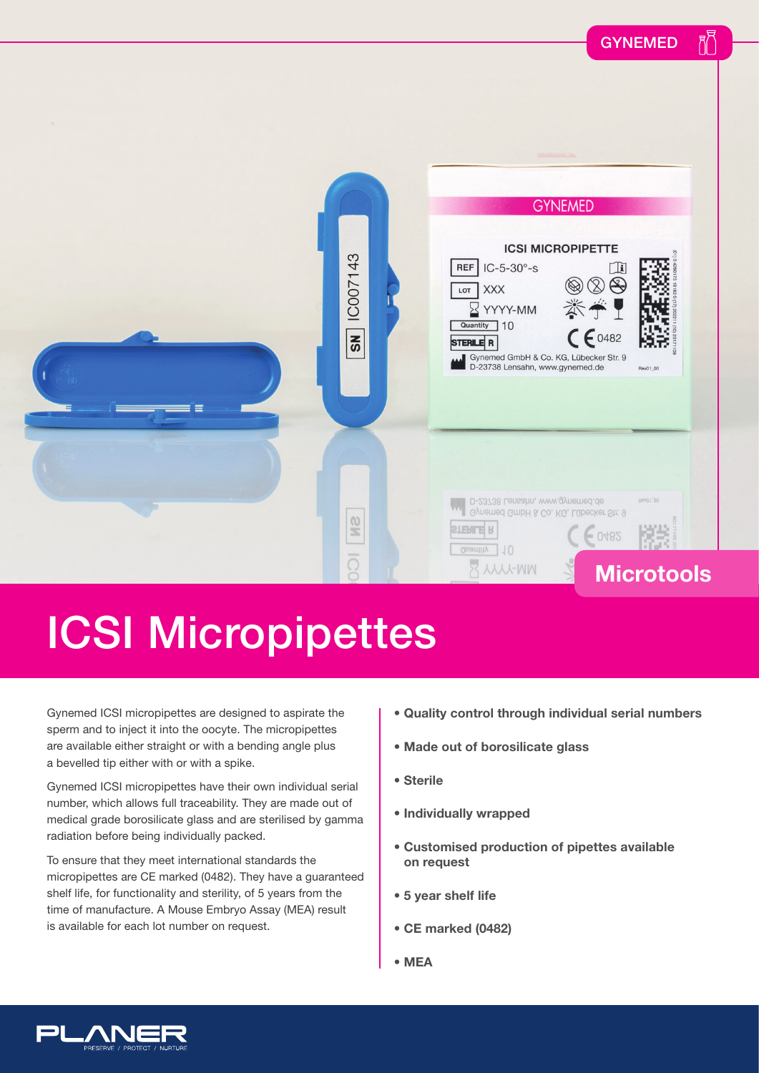

## ICSI Micropipettes

Gynemed ICSI micropipettes are designed to aspirate the sperm and to inject it into the oocyte. The micropipettes are available either straight or with a bending angle plus a bevelled tip either with or with a spike.

Gynemed ICSI micropipettes have their own individual serial number, which allows full traceability. They are made out of medical grade borosilicate glass and are sterilised by gamma radiation before being individually packed.

To ensure that they meet international standards the micropipettes are CE marked (0482). They have a guaranteed shelf life, for functionality and sterility, of 5 years from the time of manufacture. A Mouse Embryo Assay (MEA) result is available for each lot number on request.

- **Quality control through individual serial numbers**
- **Made out of borosilicate glass**
- **Sterile**
- **Individually wrapped**
- **Customised production of pipettes available on request**
- **5 year shelf life**
- **CE marked (0482)**
- **MEA**